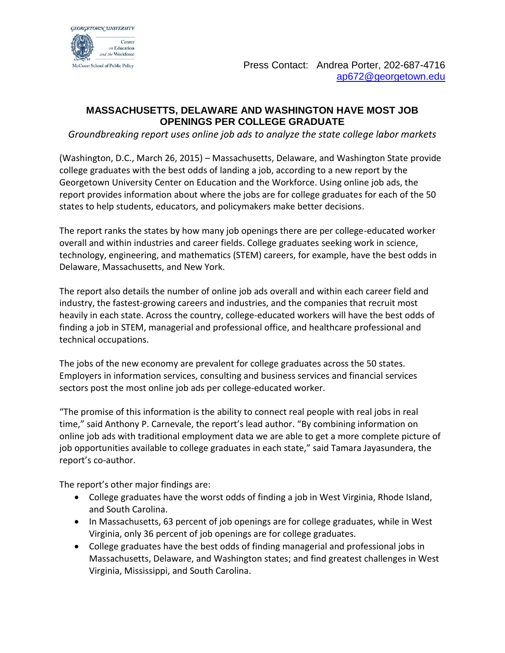

## **MASSACHUSETTS, DELAWARE AND WASHINGTON HAVE MOST JOB OPENINGS PER COLLEGE GRADUATE**

*Groundbreaking report uses online job ads to analyze the state college labor markets*

(Washington, D.C., March 26, 2015) – Massachusetts, Delaware, and Washington State provide college graduates with the best odds of landing a job, according to a new report by the Georgetown University Center on Education and the Workforce. Using online job ads, the report provides information about where the jobs are for college graduates for each of the 50 states to help students, educators, and policymakers make better decisions.

The report ranks the states by how many job openings there are per college-educated worker overall and within industries and career fields. College graduates seeking work in science, technology, engineering, and mathematics (STEM) careers, for example, have the best odds in Delaware, Massachusetts, and New York.

The report also details the number of online job ads overall and within each career field and industry, the fastest-growing careers and industries, and the companies that recruit most heavily in each state. Across the country, college-educated workers will have the best odds of finding a job in STEM, managerial and professional office, and healthcare professional and technical occupations.

The jobs of the new economy are prevalent for college graduates across the 50 states. Employers in information services, consulting and business services and financial services sectors post the most online job ads per college-educated worker.

"The promise of this information is the ability to connect real people with real jobs in real time," said Anthony P. Carnevale, the report's lead author. "By combining information on online job ads with traditional employment data we are able to get a more complete picture of job opportunities available to college graduates in each state," said Tamara Jayasundera, the report's co-author.

The report's other major findings are:

- College graduates have the worst odds of finding a job in West Virginia, Rhode Island, and South Carolina.
- In Massachusetts, 63 percent of job openings are for college graduates, while in West Virginia, only 36 percent of job openings are for college graduates.
- College graduates have the best odds of finding managerial and professional jobs in Massachusetts, Delaware, and Washington states; and find greatest challenges in West Virginia, Mississippi, and South Carolina.